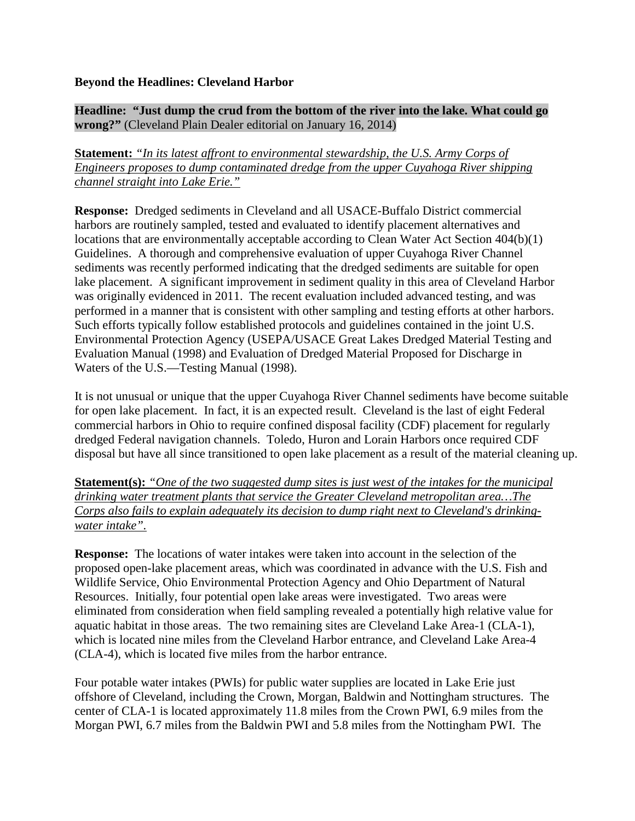## **Beyond the Headlines: Cleveland Harbor**

## **Headline: "Just dump the crud from the bottom of the river into the lake. What could go wrong?"** (Cleveland Plain Dealer editorial on January 16, 2014)

**Statement:** *"In its latest affront to environmental stewardship, the U.S. Army Corps of Engineers proposes to dump contaminated dredge from the upper Cuyahoga River shipping channel straight into Lake Erie."*

**Response:** Dredged sediments in Cleveland and all USACE-Buffalo District commercial harbors are routinely sampled, tested and evaluated to identify placement alternatives and locations that are environmentally acceptable according to Clean Water Act Section 404(b)(1) Guidelines. A thorough and comprehensive evaluation of upper Cuyahoga River Channel sediments was recently performed indicating that the dredged sediments are suitable for open lake placement. A significant improvement in sediment quality in this area of Cleveland Harbor was originally evidenced in 2011. The recent evaluation included advanced testing, and was performed in a manner that is consistent with other sampling and testing efforts at other harbors. Such efforts typically follow established protocols and guidelines contained in the joint U.S. Environmental Protection Agency (USEPA/USACE Great Lakes Dredged Material Testing and Evaluation Manual (1998) and Evaluation of Dredged Material Proposed for Discharge in Waters of the U.S.—Testing Manual (1998).

It is not unusual or unique that the upper Cuyahoga River Channel sediments have become suitable for open lake placement. In fact, it is an expected result. Cleveland is the last of eight Federal commercial harbors in Ohio to require confined disposal facility (CDF) placement for regularly dredged Federal navigation channels. Toledo, Huron and Lorain Harbors once required CDF disposal but have all since transitioned to open lake placement as a result of the material cleaning up.

**Statement(s):** *"One of the two suggested dump sites is just west of the intakes for the municipal drinking water treatment plants that service the Greater Cleveland metropolitan area…The Corps also fails to explain adequately its decision to dump right next to Cleveland's drinkingwater intake".*

**Response:** The locations of water intakes were taken into account in the selection of the proposed open-lake placement areas, which was coordinated in advance with the U.S. Fish and Wildlife Service, Ohio Environmental Protection Agency and Ohio Department of Natural Resources. Initially, four potential open lake areas were investigated. Two areas were eliminated from consideration when field sampling revealed a potentially high relative value for aquatic habitat in those areas. The two remaining sites are Cleveland Lake Area-1 (CLA-1), which is located nine miles from the Cleveland Harbor entrance, and Cleveland Lake Area-4 (CLA-4), which is located five miles from the harbor entrance.

Four potable water intakes (PWIs) for public water supplies are located in Lake Erie just offshore of Cleveland, including the Crown, Morgan, Baldwin and Nottingham structures. The center of CLA-1 is located approximately 11.8 miles from the Crown PWI, 6.9 miles from the Morgan PWI, 6.7 miles from the Baldwin PWI and 5.8 miles from the Nottingham PWI. The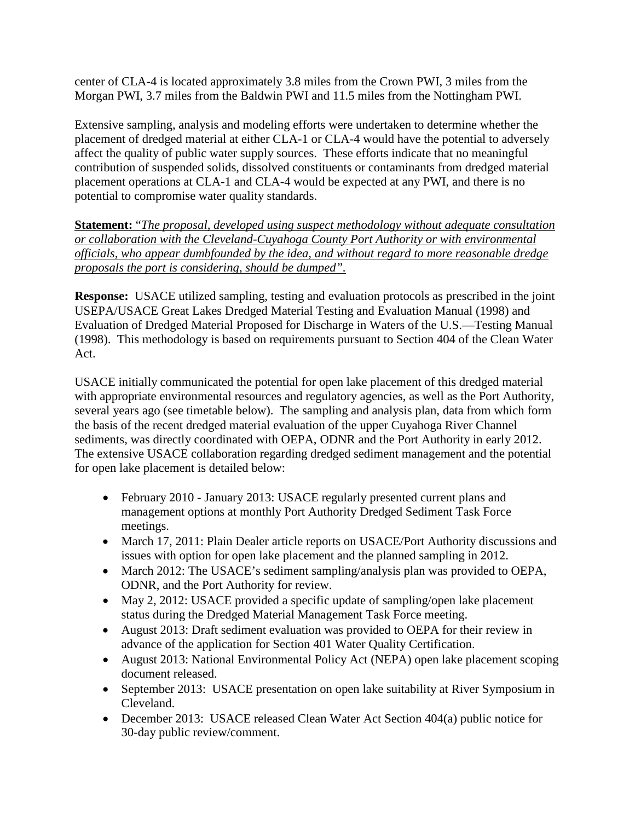center of CLA-4 is located approximately 3.8 miles from the Crown PWI, 3 miles from the Morgan PWI, 3.7 miles from the Baldwin PWI and 11.5 miles from the Nottingham PWI.

Extensive sampling, analysis and modeling efforts were undertaken to determine whether the placement of dredged material at either CLA-1 or CLA-4 would have the potential to adversely affect the quality of public water supply sources. These efforts indicate that no meaningful contribution of suspended solids, dissolved constituents or contaminants from dredged material placement operations at CLA-1 and CLA-4 would be expected at any PWI, and there is no potential to compromise water quality standards.

**Statement:** "*The proposal, developed using suspect methodology without adequate consultation or collaboration with the Cleveland-Cuyahoga County Port Authority or with environmental officials, who appear dumbfounded by the idea, and without regard to more reasonable dredge proposals the port is considering, should be dumped".*

**Response:** USACE utilized sampling, testing and evaluation protocols as prescribed in the joint USEPA/USACE Great Lakes Dredged Material Testing and Evaluation Manual (1998) and Evaluation of Dredged Material Proposed for Discharge in Waters of the U.S.—Testing Manual (1998). This methodology is based on requirements pursuant to Section 404 of the Clean Water Act.

USACE initially communicated the potential for open lake placement of this dredged material with appropriate environmental resources and regulatory agencies, as well as the Port Authority, several years ago (see timetable below). The sampling and analysis plan, data from which form the basis of the recent dredged material evaluation of the upper Cuyahoga River Channel sediments, was directly coordinated with OEPA, ODNR and the Port Authority in early 2012. The extensive USACE collaboration regarding dredged sediment management and the potential for open lake placement is detailed below:

- February 2010 January 2013: USACE regularly presented current plans and management options at monthly Port Authority Dredged Sediment Task Force meetings.
- March 17, 2011: Plain Dealer article reports on USACE/Port Authority discussions and issues with option for open lake placement and the planned sampling in 2012.
- March 2012: The USACE's sediment sampling/analysis plan was provided to OEPA, ODNR, and the Port Authority for review.
- May 2, 2012: USACE provided a specific update of sampling/open lake placement status during the Dredged Material Management Task Force meeting.
- August 2013: Draft sediment evaluation was provided to OEPA for their review in advance of the application for Section 401 Water Quality Certification.
- August 2013: National Environmental Policy Act (NEPA) open lake placement scoping document released.
- September 2013: USACE presentation on open lake suitability at River Symposium in Cleveland.
- December 2013: USACE released Clean Water Act Section 404(a) public notice for 30-day public review/comment.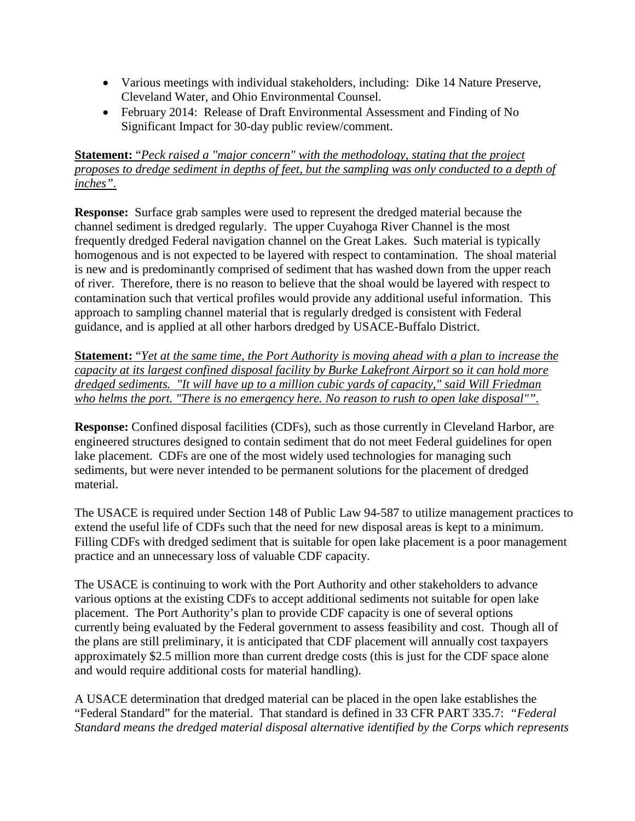- Various meetings with individual stakeholders, including: Dike 14 Nature Preserve, Cleveland Water, and Ohio Environmental Counsel.
- February 2014: Release of Draft Environmental Assessment and Finding of No Significant Impact for 30-day public review/comment.

## **Statement:** "*Peck raised a "major concern" with the methodology, stating that the project proposes to dredge sediment in depths of feet, but the sampling was only conducted to a depth of inches".*

**Response:** Surface grab samples were used to represent the dredged material because the channel sediment is dredged regularly. The upper Cuyahoga River Channel is the most frequently dredged Federal navigation channel on the Great Lakes. Such material is typically homogenous and is not expected to be layered with respect to contamination. The shoal material is new and is predominantly comprised of sediment that has washed down from the upper reach of river. Therefore, there is no reason to believe that the shoal would be layered with respect to contamination such that vertical profiles would provide any additional useful information. This approach to sampling channel material that is regularly dredged is consistent with Federal guidance, and is applied at all other harbors dredged by USACE-Buffalo District.

**Statement:** "*Yet at the same time, the Port Authority is moving ahead with a plan to increase the capacity at its largest confined disposal facility by Burke Lakefront Airport so it can hold more dredged sediments. "It will have up to a million cubic yards of capacity," said Will Friedman who helms the port. "There is no emergency here. No reason to rush to open lake disposal"".*

**Response:** Confined disposal facilities (CDFs), such as those currently in Cleveland Harbor, are engineered structures designed to contain sediment that do not meet Federal guidelines for open lake placement. CDFs are one of the most widely used technologies for managing such sediments, but were never intended to be permanent solutions for the placement of dredged material.

The USACE is required under Section 148 of Public Law 94-587 to utilize management practices to extend the useful life of CDFs such that the need for new disposal areas is kept to a minimum. Filling CDFs with dredged sediment that is suitable for open lake placement is a poor management practice and an unnecessary loss of valuable CDF capacity.

The USACE is continuing to work with the Port Authority and other stakeholders to advance various options at the existing CDFs to accept additional sediments not suitable for open lake placement. The Port Authority's plan to provide CDF capacity is one of several options currently being evaluated by the Federal government to assess feasibility and cost. Though all of the plans are still preliminary, it is anticipated that CDF placement will annually cost taxpayers approximately \$2.5 million more than current dredge costs (this is just for the CDF space alone and would require additional costs for material handling).

A USACE determination that dredged material can be placed in the open lake establishes the "Federal Standard" for the material. That standard is defined in 33 CFR PART 335.7: *"Federal Standard means the dredged material disposal alternative identified by the Corps which represents*